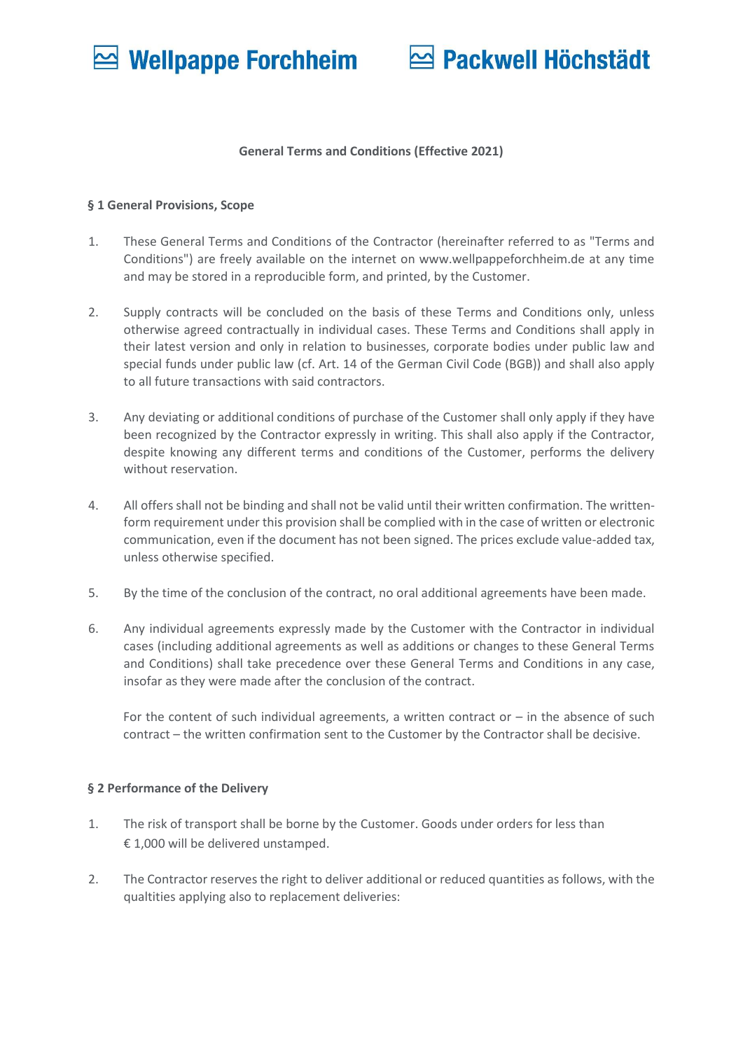# Packwell Höchstädt

### **General Terms and Conditions (Effective 2021)**

### **§ 1 General Provisions, Scope**

- 1. These General Terms and Conditions of the Contractor (hereinafter referred to as "Terms and Conditions") are freely available on the internet on www.wellpappeforchheim.de at any time and may be stored in a reproducible form, and printed, by the Customer.
- 2. Supply contracts will be concluded on the basis of these Terms and Conditions only, unless otherwise agreed contractually in individual cases. These Terms and Conditions shall apply in their latest version and only in relation to businesses, corporate bodies under public law and special funds under public law (cf. Art. 14 of the German Civil Code (BGB)) and shall also apply to all future transactions with said contractors.
- 3. Any deviating or additional conditions of purchase of the Customer shall only apply if they have been recognized by the Contractor expressly in writing. This shall also apply if the Contractor, despite knowing any different terms and conditions of the Customer, performs the delivery without reservation.
- 4. All offers shall not be binding and shall not be valid until their written confirmation. The writtenform requirement under this provision shall be complied with in the case of written or electronic communication, even if the document has not been signed. The prices exclude value-added tax, unless otherwise specified.
- 5. By the time of the conclusion of the contract, no oral additional agreements have been made.
- 6. Any individual agreements expressly made by the Customer with the Contractor in individual cases (including additional agreements as well as additions or changes to these General Terms and Conditions) shall take precedence over these General Terms and Conditions in any case, insofar as they were made after the conclusion of the contract.

For the content of such individual agreements, a written contract or  $-$  in the absence of such contract – the written confirmation sent to the Customer by the Contractor shall be decisive.

## **§ 2 Performance of the Delivery**

- 1. The risk of transport shall be borne by the Customer. Goods under orders for less than € 1,000 will be delivered unstamped.
- 2. The Contractor reserves the right to deliver additional or reduced quantities as follows, with the qualtities applying also to replacement deliveries: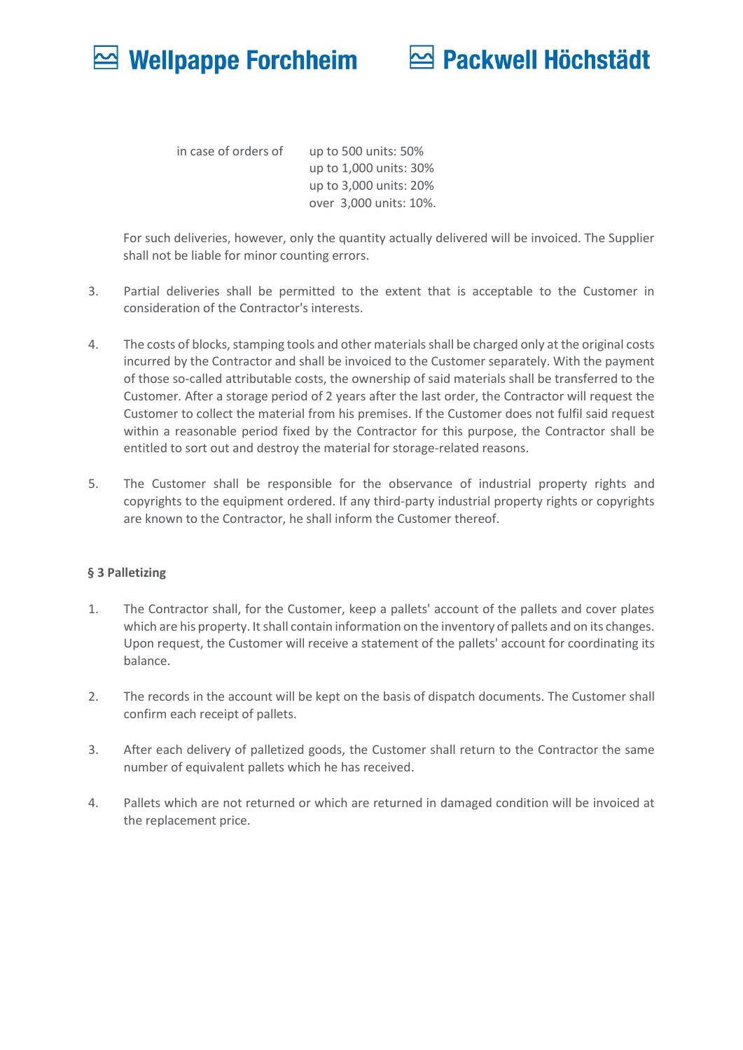

in case of orders of up to 500 units: 50% up to 1,000 units: 30% up to 3,000 units: 20% over 3,000 units: 10%.

For such deliveries, however, only the quantity actually delivered will be invoiced. The Supplier shall not be liable for minor counting errors.

- 3. Partial deliveries shall be permitted to the extent that is acceptable to the Customer in consideration of the Contractor's interests.
- 4. The costs of blocks, stamping tools and other materials shall be charged only at the original costs incurred by the Contractor and shall be invoiced to the Customer separately. With the payment of those so-called attributable costs, the ownership of said materials shall be transferred to the Customer. After a storage period of 2 years after the last order, the Contractor will request the Customer to collect the material from his premises. If the Customer does not fulfil said request within a reasonable period fixed by the Contractor for this purpose, the Contractor shall be entitled to sort out and destroy the material for storage-related reasons.
- 5. The Customer shall be responsible for the observance of industrial property rights and copyrights to the equipment ordered. If any third-party industrial property rights or copyrights are known to the Contractor, he shall inform the Customer thereof.

## **§ 3 Palletizing**

- 1. The Contractor shall, for the Customer, keep a pallets' account of the pallets and cover plates which are his property. It shall contain information on the inventory of pallets and on its changes. Upon request, the Customer will receive a statement of the pallets' account for coordinating its balance.
- 2. The records in the account will be kept on the basis of dispatch documents. The Customer shall confirm each receipt of pallets.
- 3. After each delivery of palletized goods, the Customer shall return to the Contractor the same number of equivalent pallets which he has received.
- 4. Pallets which are not returned or which are returned in damaged condition will be invoiced at the replacement price.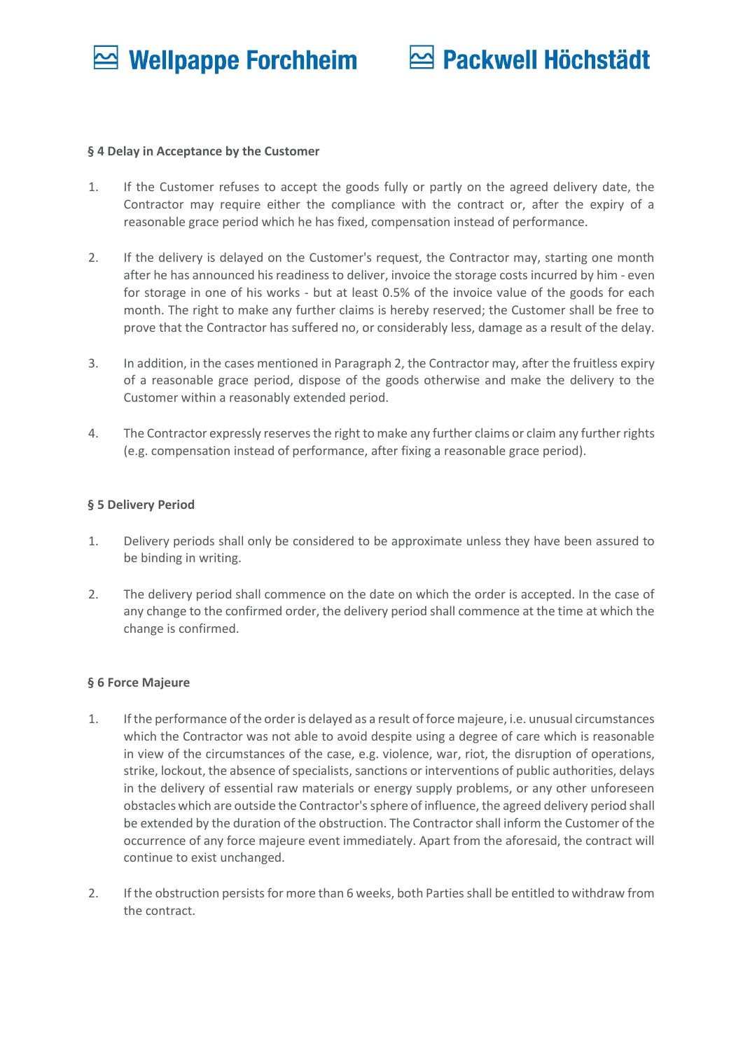## Packwell Höchstädt

### **§ 4 Delay in Acceptance by the Customer**

- 1. If the Customer refuses to accept the goods fully or partly on the agreed delivery date, the Contractor may require either the compliance with the contract or, after the expiry of a reasonable grace period which he has fixed, compensation instead of performance.
- 2. If the delivery is delayed on the Customer's request, the Contractor may, starting one month after he has announced his readiness to deliver, invoice the storage costs incurred by him - even for storage in one of his works - but at least 0.5% of the invoice value of the goods for each month. The right to make any further claims is hereby reserved; the Customer shall be free to prove that the Contractor has suffered no, or considerably less, damage as a result of the delay.
- 3. In addition, in the cases mentioned in Paragraph 2, the Contractor may, after the fruitless expiry of a reasonable grace period, dispose of the goods otherwise and make the delivery to the Customer within a reasonably extended period.
- 4. The Contractor expressly reserves the right to make any further claims or claim any further rights (e.g. compensation instead of performance, after fixing a reasonable grace period).

## **§ 5 Delivery Period**

- 1. Delivery periods shall only be considered to be approximate unless they have been assured to be binding in writing.
- 2. The delivery period shall commence on the date on which the order is accepted. In the case of any change to the confirmed order, the delivery period shall commence at the time at which the change is confirmed.

## **§ 6 Force Majeure**

- 1. If the performance of the order is delayed as a result of force majeure, i.e. unusual circumstances which the Contractor was not able to avoid despite using a degree of care which is reasonable in view of the circumstances of the case, e.g. violence, war, riot, the disruption of operations, strike, lockout, the absence of specialists, sanctions or interventions of public authorities, delays in the delivery of essential raw materials or energy supply problems, or any other unforeseen obstacles which are outside the Contractor'ssphere of influence, the agreed delivery period shall be extended by the duration of the obstruction. The Contractor shall inform the Customer of the occurrence of any force majeure event immediately. Apart from the aforesaid, the contract will continue to exist unchanged.
- 2. If the obstruction persists for more than 6 weeks, both Parties shall be entitled to withdraw from the contract.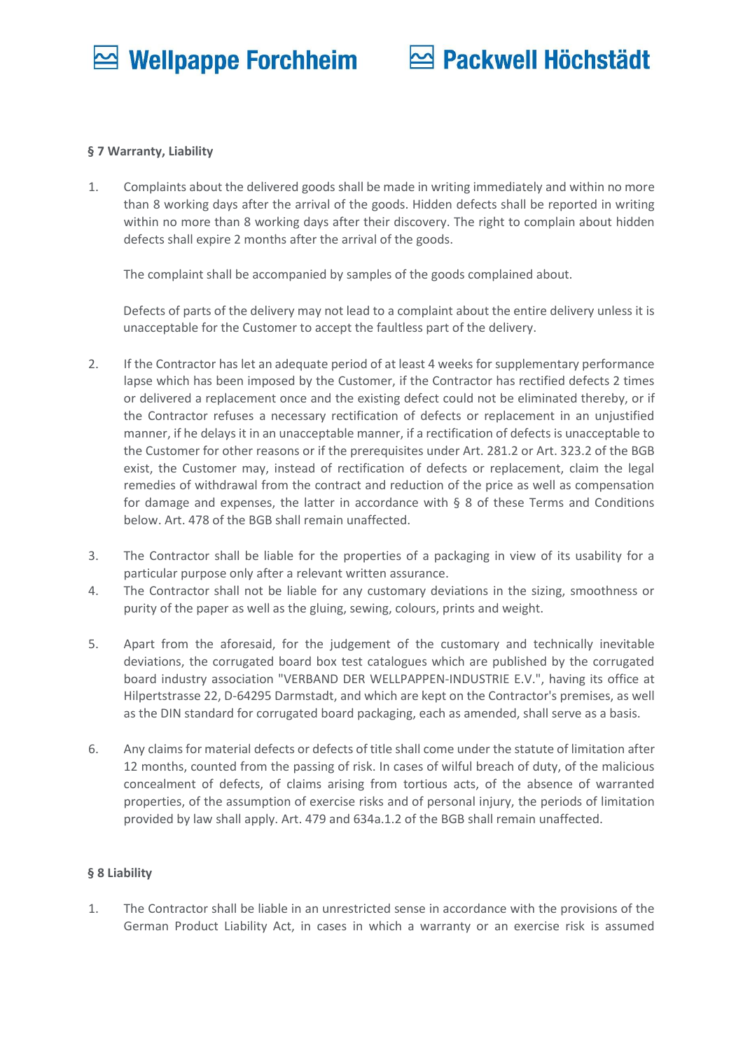

## **§ 7 Warranty, Liability**

1. Complaints about the delivered goods shall be made in writing immediately and within no more than 8 working days after the arrival of the goods. Hidden defects shall be reported in writing within no more than 8 working days after their discovery. The right to complain about hidden defects shall expire 2 months after the arrival of the goods.

The complaint shall be accompanied by samples of the goods complained about.

Defects of parts of the delivery may not lead to a complaint about the entire delivery unless it is unacceptable for the Customer to accept the faultless part of the delivery.

- 2. If the Contractor has let an adequate period of at least 4 weeks for supplementary performance lapse which has been imposed by the Customer, if the Contractor has rectified defects 2 times or delivered a replacement once and the existing defect could not be eliminated thereby, or if the Contractor refuses a necessary rectification of defects or replacement in an unjustified manner, if he delays it in an unacceptable manner, if a rectification of defects is unacceptable to the Customer for other reasons or if the prerequisites under Art. 281.2 or Art. 323.2 of the BGB exist, the Customer may, instead of rectification of defects or replacement, claim the legal remedies of withdrawal from the contract and reduction of the price as well as compensation for damage and expenses, the latter in accordance with  $\S$  8 of these Terms and Conditions below. Art. 478 of the BGB shall remain unaffected.
- 3. The Contractor shall be liable for the properties of a packaging in view of its usability for a particular purpose only after a relevant written assurance.
- 4. The Contractor shall not be liable for any customary deviations in the sizing, smoothness or purity of the paper as well as the gluing, sewing, colours, prints and weight.
- 5. Apart from the aforesaid, for the judgement of the customary and technically inevitable deviations, the corrugated board box test catalogues which are published by the corrugated board industry association "VERBAND DER WELLPAPPEN-INDUSTRIE E.V.", having its office at Hilpertstrasse 22, D-64295 Darmstadt, and which are kept on the Contractor's premises, as well as the DIN standard for corrugated board packaging, each as amended, shall serve as a basis.
- 6. Any claims for material defects or defects of title shall come under the statute of limitation after 12 months, counted from the passing of risk. In cases of wilful breach of duty, of the malicious concealment of defects, of claims arising from tortious acts, of the absence of warranted properties, of the assumption of exercise risks and of personal injury, the periods of limitation provided by law shall apply. Art. 479 and 634a.1.2 of the BGB shall remain unaffected.

## **§ 8 Liability**

1. The Contractor shall be liable in an unrestricted sense in accordance with the provisions of the German Product Liability Act, in cases in which a warranty or an exercise risk is assumed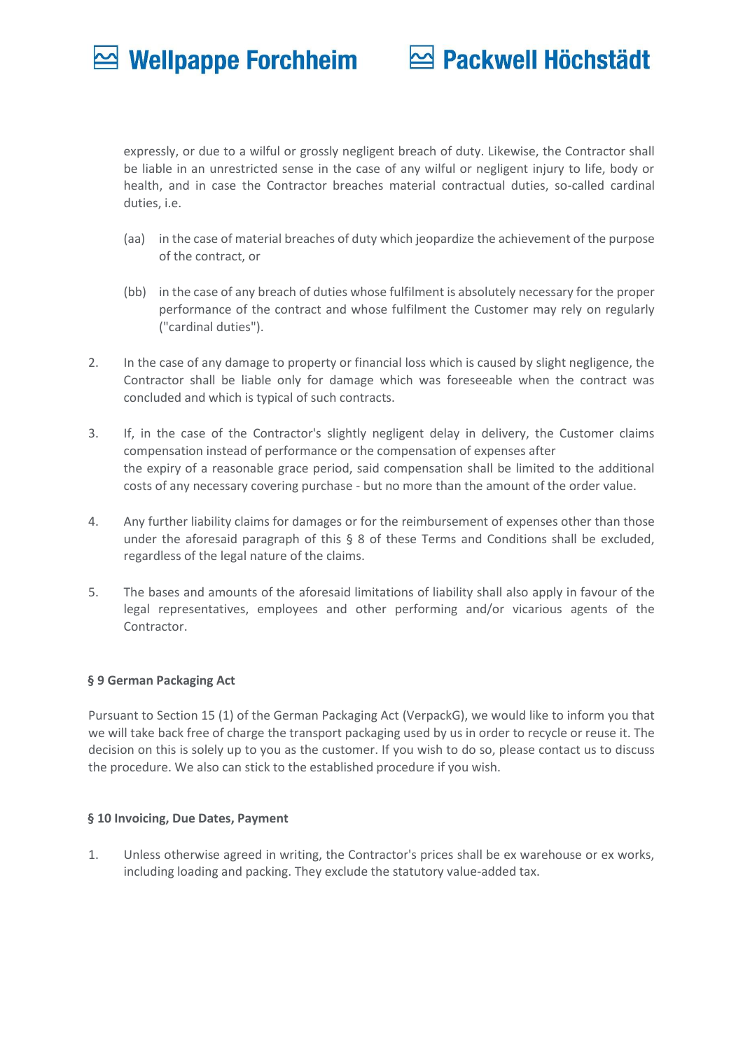## Packwell Höchstädt

expressly, or due to a wilful or grossly negligent breach of duty. Likewise, the Contractor shall be liable in an unrestricted sense in the case of any wilful or negligent injury to life, body or health, and in case the Contractor breaches material contractual duties, so-called cardinal duties, i.e.

- (aa) in the case of material breaches of duty which jeopardize the achievement of the purpose of the contract, or
- (bb) in the case of any breach of duties whose fulfilment is absolutely necessary for the proper performance of the contract and whose fulfilment the Customer may rely on regularly ("cardinal duties").
- 2. In the case of any damage to property or financial loss which is caused by slight negligence, the Contractor shall be liable only for damage which was foreseeable when the contract was concluded and which is typical of such contracts.
- 3. If, in the case of the Contractor's slightly negligent delay in delivery, the Customer claims compensation instead of performance or the compensation of expenses after the expiry of a reasonable grace period, said compensation shall be limited to the additional costs of any necessary covering purchase - but no more than the amount of the order value.
- 4. Any further liability claims for damages or for the reimbursement of expenses other than those under the aforesaid paragraph of this § 8 of these Terms and Conditions shall be excluded, regardless of the legal nature of the claims.
- 5. The bases and amounts of the aforesaid limitations of liability shall also apply in favour of the legal representatives, employees and other performing and/or vicarious agents of the Contractor.

## **§ 9 German Packaging Act**

Pursuant to Section 15 (1) of the German Packaging Act (VerpackG), we would like to inform you that we will take back free of charge the transport packaging used by us in order to recycle or reuse it. The decision on this is solely up to you as the customer. If you wish to do so, please contact us to discuss the procedure. We also can stick to the established procedure if you wish.

## **§ 10 Invoicing, Due Dates, Payment**

1. Unless otherwise agreed in writing, the Contractor's prices shall be ex warehouse or ex works, including loading and packing. They exclude the statutory value-added tax.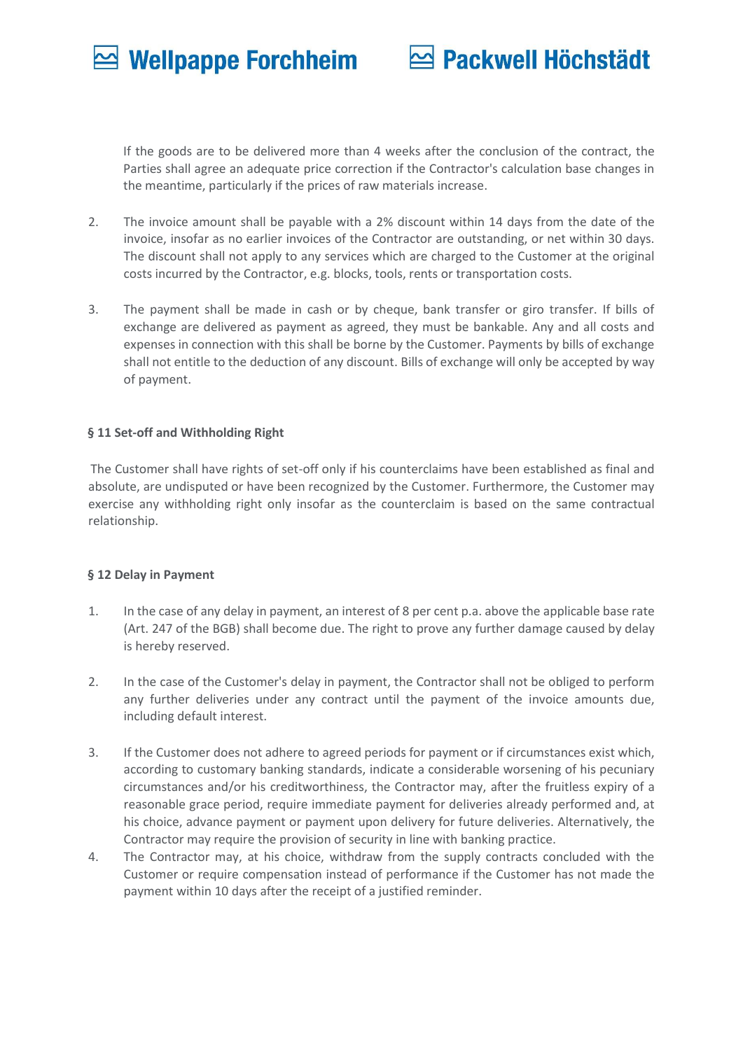# **⊵ Packwell Höchstädt**

If the goods are to be delivered more than 4 weeks after the conclusion of the contract, the Parties shall agree an adequate price correction if the Contractor's calculation base changes in the meantime, particularly if the prices of raw materials increase.

- 2. The invoice amount shall be payable with a 2% discount within 14 days from the date of the invoice, insofar as no earlier invoices of the Contractor are outstanding, or net within 30 days. The discount shall not apply to any services which are charged to the Customer at the original costs incurred by the Contractor, e.g. blocks, tools, rents or transportation costs.
- 3. The payment shall be made in cash or by cheque, bank transfer or giro transfer. If bills of exchange are delivered as payment as agreed, they must be bankable. Any and all costs and expenses in connection with this shall be borne by the Customer. Payments by bills of exchange shall not entitle to the deduction of any discount. Bills of exchange will only be accepted by way of payment.

## **§ 11 Set-off and Withholding Right**

The Customer shall have rights of set-off only if his counterclaims have been established as final and absolute, are undisputed or have been recognized by the Customer. Furthermore, the Customer may exercise any withholding right only insofar as the counterclaim is based on the same contractual relationship.

## **§ 12 Delay in Payment**

- 1. In the case of any delay in payment, an interest of 8 per cent p.a. above the applicable base rate (Art. 247 of the BGB) shall become due. The right to prove any further damage caused by delay is hereby reserved.
- 2. In the case of the Customer's delay in payment, the Contractor shall not be obliged to perform any further deliveries under any contract until the payment of the invoice amounts due, including default interest.
- 3. If the Customer does not adhere to agreed periods for payment or if circumstances exist which, according to customary banking standards, indicate a considerable worsening of his pecuniary circumstances and/or his creditworthiness, the Contractor may, after the fruitless expiry of a reasonable grace period, require immediate payment for deliveries already performed and, at his choice, advance payment or payment upon delivery for future deliveries. Alternatively, the Contractor may require the provision of security in line with banking practice.
- 4. The Contractor may, at his choice, withdraw from the supply contracts concluded with the Customer or require compensation instead of performance if the Customer has not made the payment within 10 days after the receipt of a justified reminder.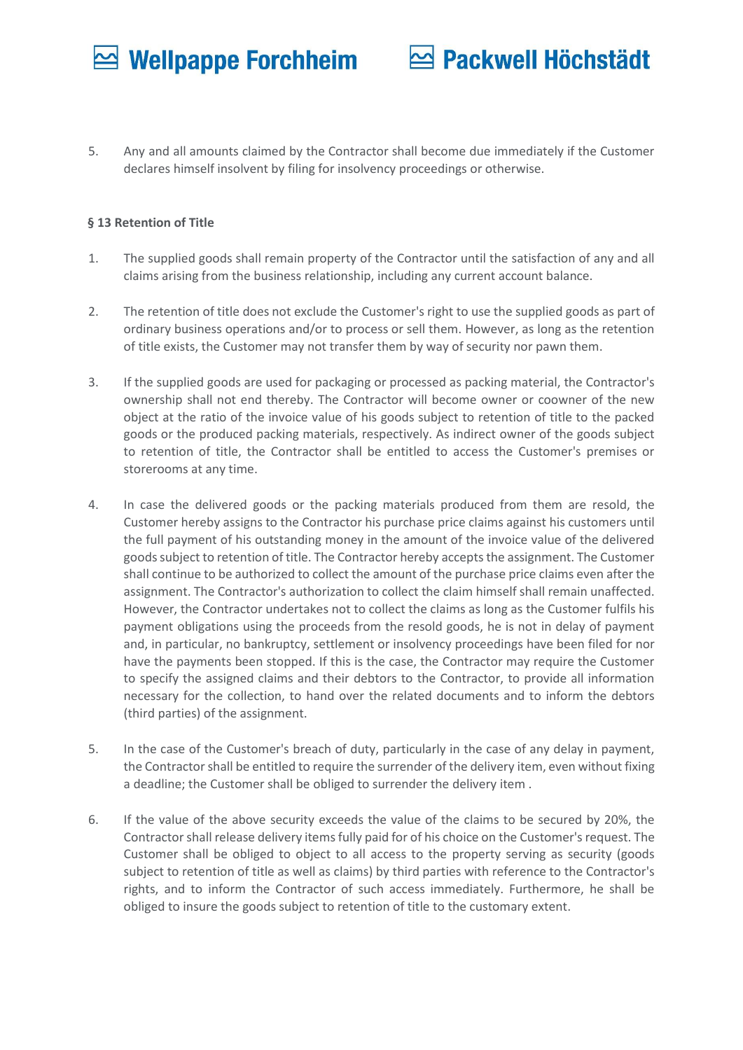## **<b>** $\approx$  **Packwell Höchstädt**

5. Any and all amounts claimed by the Contractor shall become due immediately if the Customer declares himself insolvent by filing for insolvency proceedings or otherwise.

## **§ 13 Retention of Title**

- 1. The supplied goods shall remain property of the Contractor until the satisfaction of any and all claims arising from the business relationship, including any current account balance.
- 2. The retention of title does not exclude the Customer's right to use the supplied goods as part of ordinary business operations and/or to process or sell them. However, as long as the retention of title exists, the Customer may not transfer them by way of security nor pawn them.
- 3. If the supplied goods are used for packaging or processed as packing material, the Contractor's ownership shall not end thereby. The Contractor will become owner or coowner of the new object at the ratio of the invoice value of his goods subject to retention of title to the packed goods or the produced packing materials, respectively. As indirect owner of the goods subject to retention of title, the Contractor shall be entitled to access the Customer's premises or storerooms at any time.
- 4. In case the delivered goods or the packing materials produced from them are resold, the Customer hereby assigns to the Contractor his purchase price claims against his customers until the full payment of his outstanding money in the amount of the invoice value of the delivered goods subject to retention of title. The Contractor hereby accepts the assignment. The Customer shall continue to be authorized to collect the amount of the purchase price claims even after the assignment. The Contractor's authorization to collect the claim himself shall remain unaffected. However, the Contractor undertakes not to collect the claims as long as the Customer fulfils his payment obligations using the proceeds from the resold goods, he is not in delay of payment and, in particular, no bankruptcy, settlement or insolvency proceedings have been filed for nor have the payments been stopped. If this is the case, the Contractor may require the Customer to specify the assigned claims and their debtors to the Contractor, to provide all information necessary for the collection, to hand over the related documents and to inform the debtors (third parties) of the assignment.
- 5. In the case of the Customer's breach of duty, particularly in the case of any delay in payment, the Contractor shall be entitled to require the surrender of the delivery item, even without fixing a deadline; the Customer shall be obliged to surrender the delivery item .
- 6. If the value of the above security exceeds the value of the claims to be secured by 20%, the Contractor shall release delivery items fully paid for of his choice on the Customer's request. The Customer shall be obliged to object to all access to the property serving as security (goods subject to retention of title as well as claims) by third parties with reference to the Contractor's rights, and to inform the Contractor of such access immediately. Furthermore, he shall be obliged to insure the goods subject to retention of title to the customary extent.